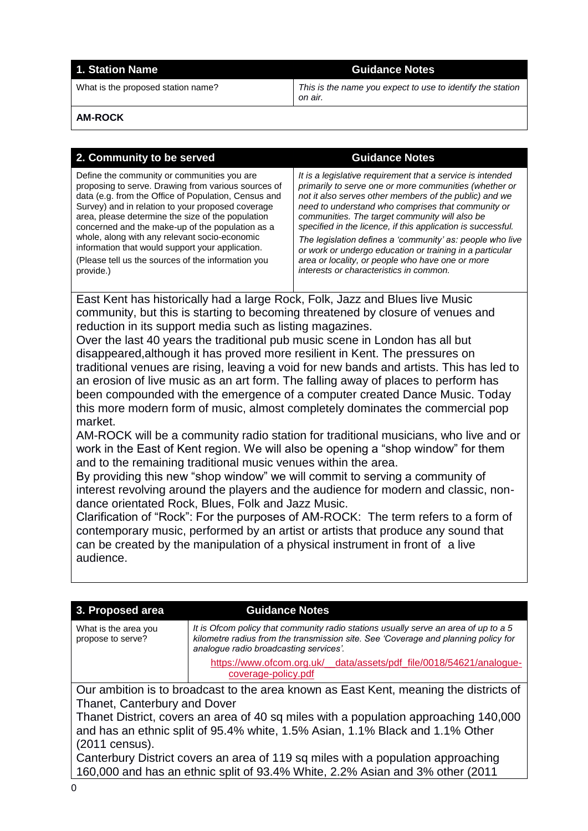# **1. Station Name Guidance Notes**

What is the proposed station name? *This is the name you expect to use to identify the station on air.*

**AM-ROCK**

| 2. Community to be served                                                                                                                                                                                                                                                                                                                                                                                                                                                                        | <b>Guidance Notes</b>                                                                                                                                                                                                                                                                                                                                                                                                                                                                                                                                                          |  |  |
|--------------------------------------------------------------------------------------------------------------------------------------------------------------------------------------------------------------------------------------------------------------------------------------------------------------------------------------------------------------------------------------------------------------------------------------------------------------------------------------------------|--------------------------------------------------------------------------------------------------------------------------------------------------------------------------------------------------------------------------------------------------------------------------------------------------------------------------------------------------------------------------------------------------------------------------------------------------------------------------------------------------------------------------------------------------------------------------------|--|--|
| Define the community or communities you are<br>proposing to serve. Drawing from various sources of<br>data (e.g. from the Office of Population, Census and<br>Survey) and in relation to your proposed coverage<br>area, please determine the size of the population<br>concerned and the make-up of the population as a<br>whole, along with any relevant socio-economic<br>information that would support your application.<br>(Please tell us the sources of the information you<br>provide.) | It is a legislative requirement that a service is intended<br>primarily to serve one or more communities (whether or<br>not it also serves other members of the public) and we<br>need to understand who comprises that community or<br>communities. The target community will also be<br>specified in the licence, if this application is successful.<br>The legislation defines a 'community' as: people who live<br>or work or undergo education or training in a particular<br>area or locality, or people who have one or more<br>interests or characteristics in common. |  |  |
| East Kent has historically had a large Rock, Folk, Jazz and Blues live Music                                                                                                                                                                                                                                                                                                                                                                                                                     |                                                                                                                                                                                                                                                                                                                                                                                                                                                                                                                                                                                |  |  |
| community, but this is starting to becoming threatened by closure of venues and<br>reduction in its support media such as listing magazines.                                                                                                                                                                                                                                                                                                                                                     |                                                                                                                                                                                                                                                                                                                                                                                                                                                                                                                                                                                |  |  |
| Over the last 40 years the traditional pub music scene in London has all but                                                                                                                                                                                                                                                                                                                                                                                                                     |                                                                                                                                                                                                                                                                                                                                                                                                                                                                                                                                                                                |  |  |
| disappeared, although it has proved more resilient in Kent. The pressures on                                                                                                                                                                                                                                                                                                                                                                                                                     |                                                                                                                                                                                                                                                                                                                                                                                                                                                                                                                                                                                |  |  |
| traditional venues are rising, leaving a void for new bands and artists. This has led to                                                                                                                                                                                                                                                                                                                                                                                                         |                                                                                                                                                                                                                                                                                                                                                                                                                                                                                                                                                                                |  |  |
| an erosion of live music as an art form. The falling away of places to perform has<br>been compounded with the emergence of a computer created Dance Music. Today                                                                                                                                                                                                                                                                                                                                |                                                                                                                                                                                                                                                                                                                                                                                                                                                                                                                                                                                |  |  |
| this more modern form of music, almost completely dominates the commercial pop                                                                                                                                                                                                                                                                                                                                                                                                                   |                                                                                                                                                                                                                                                                                                                                                                                                                                                                                                                                                                                |  |  |
| market.                                                                                                                                                                                                                                                                                                                                                                                                                                                                                          |                                                                                                                                                                                                                                                                                                                                                                                                                                                                                                                                                                                |  |  |
| AM-ROCK will be a community radio station for traditional musicians, who live and or<br>work in the East of Kent region. We will also be opening a "shop window" for them                                                                                                                                                                                                                                                                                                                        |                                                                                                                                                                                                                                                                                                                                                                                                                                                                                                                                                                                |  |  |
| and to the remaining traditional music venues within the area.<br>By providing this new "shop window" we will commit to serving a community of                                                                                                                                                                                                                                                                                                                                                   |                                                                                                                                                                                                                                                                                                                                                                                                                                                                                                                                                                                |  |  |
| interest revolving around the players and the audience for modern and classic, non-<br>dance orientated Rock, Blues, Folk and Jazz Music.                                                                                                                                                                                                                                                                                                                                                        |                                                                                                                                                                                                                                                                                                                                                                                                                                                                                                                                                                                |  |  |
| Clarification of "Rock": For the purposes of AM-ROCK: The term refers to a form of                                                                                                                                                                                                                                                                                                                                                                                                               |                                                                                                                                                                                                                                                                                                                                                                                                                                                                                                                                                                                |  |  |
| contemporary music, performed by an artist or artists that produce any sound that                                                                                                                                                                                                                                                                                                                                                                                                                |                                                                                                                                                                                                                                                                                                                                                                                                                                                                                                                                                                                |  |  |
| can be created by the manipulation of a physical instrument in front of a live                                                                                                                                                                                                                                                                                                                                                                                                                   |                                                                                                                                                                                                                                                                                                                                                                                                                                                                                                                                                                                |  |  |
| audience.                                                                                                                                                                                                                                                                                                                                                                                                                                                                                        |                                                                                                                                                                                                                                                                                                                                                                                                                                                                                                                                                                                |  |  |
|                                                                                                                                                                                                                                                                                                                                                                                                                                                                                                  |                                                                                                                                                                                                                                                                                                                                                                                                                                                                                                                                                                                |  |  |
|                                                                                                                                                                                                                                                                                                                                                                                                                                                                                                  |                                                                                                                                                                                                                                                                                                                                                                                                                                                                                                                                                                                |  |  |
| 3. Proposed area<br><b>Guidance Notes</b>                                                                                                                                                                                                                                                                                                                                                                                                                                                        |                                                                                                                                                                                                                                                                                                                                                                                                                                                                                                                                                                                |  |  |
| What is the area you<br>propose to serve?<br>analogue radio broadcasting services'.                                                                                                                                                                                                                                                                                                                                                                                                              | It is Ofcom policy that community radio stations usually serve an area of up to a 5<br>kilometre radius from the transmission site. See 'Coverage and planning policy for                                                                                                                                                                                                                                                                                                                                                                                                      |  |  |
| https://www.ofcom.org.uk/<br>coverage-policy.pdf                                                                                                                                                                                                                                                                                                                                                                                                                                                 | data/assets/pdf_file/0018/54621/analogue-                                                                                                                                                                                                                                                                                                                                                                                                                                                                                                                                      |  |  |

Our ambition is to broadcast to the area known as East Kent, meaning the districts of Thanet, Canterbury and Dover

Thanet District, covers an area of 40 sq miles with a population approaching 140,000 and has an ethnic split of 95.4% white, 1.5% Asian, 1.1% Black and 1.1% Other (2011 census).

Canterbury District covers an area of 119 sq miles with a population approaching 160,000 and has an ethnic split of 93.4% White, 2.2% Asian and 3% other (2011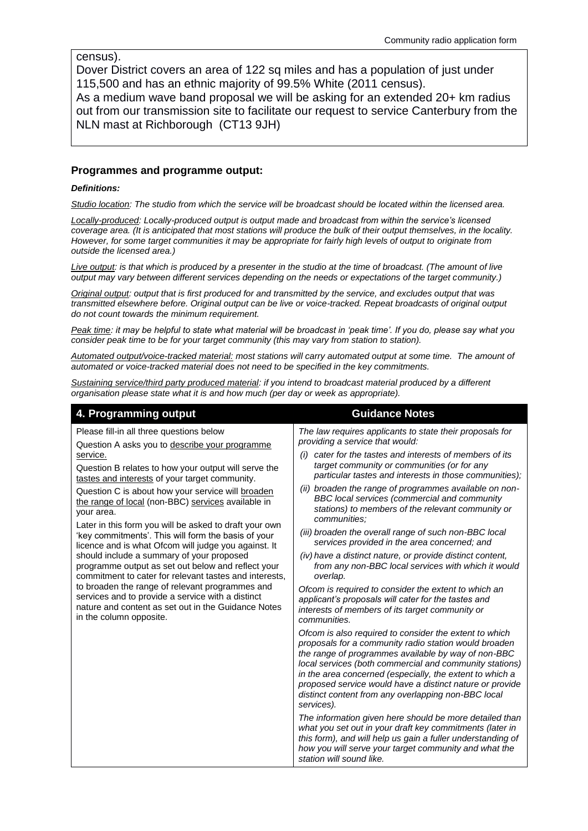census).

Dover District covers an area of 122 sq miles and has a population of just under 115,500 and has an ethnic majority of 99.5% White (2011 census). As a medium wave band proposal we will be asking for an extended 20+ km radius out from our transmission site to facilitate our request to service Canterbury from the NLN mast at Richborough (CT13 9JH)

## **Programmes and programme output:**

### *Definitions:*

*Studio location: The studio from which the service will be broadcast should be located within the licensed area.* 

*Locally-produced: Locally-produced output is output made and broadcast from within the service's licensed coverage area. (It is anticipated that most stations will produce the bulk of their output themselves, in the locality. However, for some target communities it may be appropriate for fairly high levels of output to originate from outside the licensed area.)*

*Live output: is that which is produced by a presenter in the studio at the time of broadcast. (The amount of live output may vary between different services depending on the needs or expectations of the target community.)*

*Original output: output that is first produced for and transmitted by the service, and excludes output that was transmitted elsewhere before. Original output can be live or voice-tracked. Repeat broadcasts of original output do not count towards the minimum requirement.*

*Peak time: it may be helpful to state what material will be broadcast in 'peak time'. If you do, please say what you consider peak time to be for your target community (this may vary from station to station).*

*Automated output/voice-tracked material: most stations will carry automated output at some time. The amount of automated or voice-tracked material does not need to be specified in the key commitments.*

*Sustaining service/third party produced material: if you intend to broadcast material produced by a different organisation please state what it is and how much (per day or week as appropriate).* 

# **4. Programming output Guidance Notes**

Please fill-in all three questions below

Question A asks you to describe your programme service.

Question B relates to how your output will serve the tastes and interests of your target community.

Question C is about how your service will broaden the range of local (non-BBC) services available in your area.

Later in this form you will be asked to draft your own 'key commitments'. This will form the basis of your licence and is what Ofcom will judge you against. It should include a summary of your proposed programme output as set out below and reflect your commitment to cater for relevant tastes and interests, to broaden the range of relevant programmes and services and to provide a service with a distinct nature and content as set out in the Guidance Notes in the column opposite.

*The law requires applicants to state their proposals for providing a service that would:*

- *(i) cater for the tastes and interests of members of its target community or communities (or for any particular tastes and interests in those communities);*
- *(ii) broaden the range of programmes available on non-BBC local services (commercial and community stations) to members of the relevant community or communities;*
- *(iii) broaden the overall range of such non-BBC local services provided in the area concerned; and*
- *(iv) have a distinct nature, or provide distinct content, from any non-BBC local services with which it would overlap.*

*Ofcom is required to consider the extent to which an applicant's proposals will cater for the tastes and interests of members of its target community or communities.* 

*Ofcom is also required to consider the extent to which proposals for a community radio station would broaden the range of programmes available by way of non-BBC local services (both commercial and community stations) in the area concerned (especially, the extent to which a proposed service would have a distinct nature or provide distinct content from any overlapping non-BBC local services).* 

*The information given here should be more detailed than what you set out in your draft key commitments (later in this form), and will help us gain a fuller understanding of how you will serve your target community and what the station will sound like.*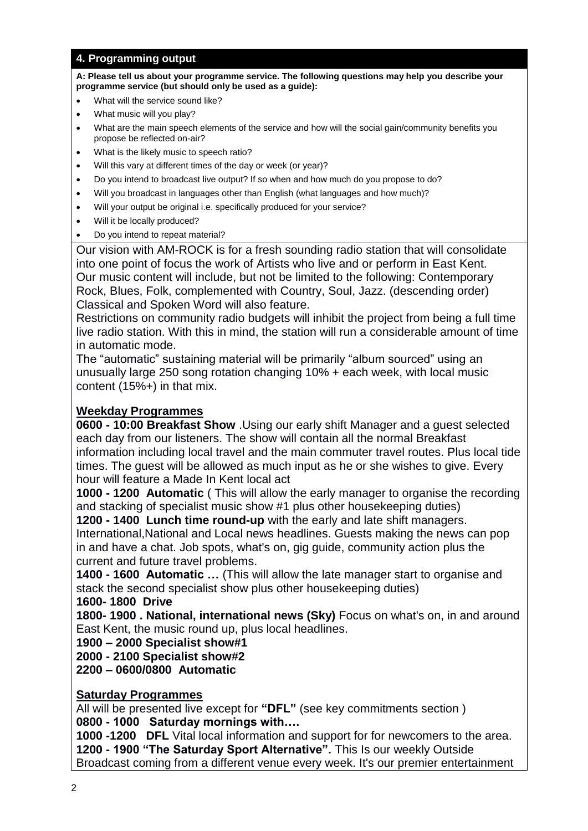# **4. Programming output**

**A: Please tell us about your programme service. The following questions may help you describe your programme service (but should only be used as a guide):**

- What will the service sound like?
- What music will you play?
- What are the main speech elements of the service and how will the social gain/community benefits you propose be reflected on-air?
- What is the likely music to speech ratio?
- Will this vary at different times of the day or week (or year)?
- Do you intend to broadcast live output? If so when and how much do you propose to do?
- Will you broadcast in languages other than English (what languages and how much)?
- Will your output be original i.e. specifically produced for your service?
- Will it be locally produced?
- Do you intend to repeat material?

Our vision with AM-ROCK is for a fresh sounding radio station that will consolidate into one point of focus the work of Artists who live and or perform in East Kent. Our music content will include, but not be limited to the following: Contemporary Rock, Blues, Folk, complemented with Country, Soul, Jazz. (descending order) Classical and Spoken Word will also feature.

Restrictions on community radio budgets will inhibit the project from being a full time live radio station. With this in mind, the station will run a considerable amount of time in automatic mode.

The "automatic" sustaining material will be primarily "album sourced" using an unusually large 250 song rotation changing 10% + each week, with local music content (15%+) in that mix.

# **Weekday Programmes**

**0600 - 10:00 Breakfast Show** .Using our early shift Manager and a guest selected each day from our listeners. The show will contain all the normal Breakfast information including local travel and the main commuter travel routes. Plus local tide times. The guest will be allowed as much input as he or she wishes to give. Every hour will feature a Made In Kent local act

**1000 - 1200 Automatic** ( This will allow the early manager to organise the recording and stacking of specialist music show #1 plus other housekeeping duties)

**1200 - 1400 Lunch time round-up** with the early and late shift managers. International,National and Local news headlines. Guests making the news can pop in and have a chat. Job spots, what's on, gig guide, community action plus the current and future travel problems.

**1400 - 1600 Automatic …** (This will allow the late manager start to organise and stack the second specialist show plus other housekeeping duties)

**1600- 1800 Drive**

**1800- 1900 . National, international news (Sky)** Focus on what's on, in and around East Kent, the music round up, plus local headlines.

**1900 – 2000 Specialist show#1**

**2000 - 2100 Specialist show#2**

**2200 – 0600/0800 Automatic**

# **Saturday Programmes**

All will be presented live except for **"DFL"** (see key commitments section ) **0800 - 1000 Saturday mornings with….**

**1000 -1200 DFL** Vital local information and support for for newcomers to the area. **1200 - 1900 "The Saturday Sport Alternative".** This Is our weekly Outside Broadcast coming from a different venue every week. It's our premier entertainment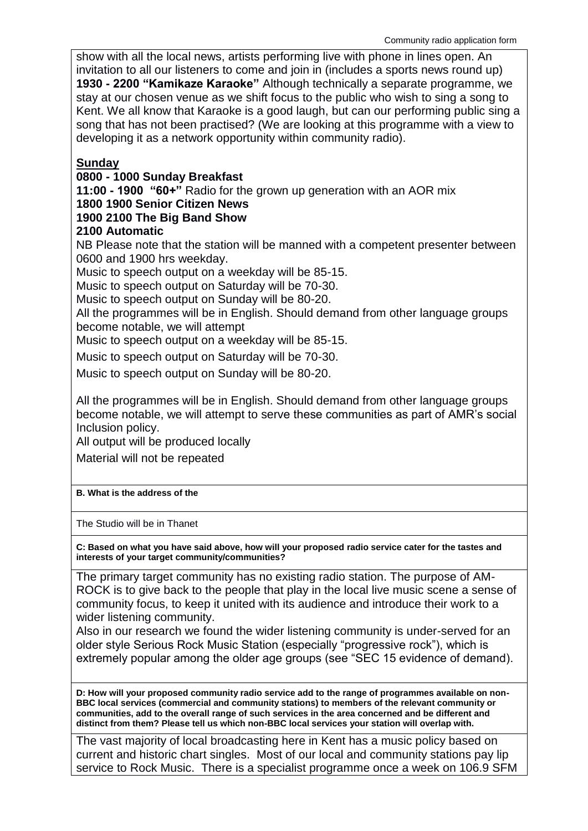show with all the local news, artists performing live with phone in lines open. An invitation to all our listeners to come and join in (includes a sports news round up) **1930 - 2200 "Kamikaze Karaoke"** Although technically a separate programme, we stay at our chosen venue as we shift focus to the public who wish to sing a song to Kent. We all know that Karaoke is a good laugh, but can our performing public sing a song that has not been practised? (We are looking at this programme with a view to developing it as a network opportunity within community radio).

# **Sunday**

# **0800 - 1000 Sunday Breakfast**

**11:00 - 1900 "60+"** Radio for the grown up generation with an AOR mix

## **1800 1900 Senior Citizen News**

# **1900 2100 The Big Band Show**

# **2100 Automatic**

NB Please note that the station will be manned with a competent presenter between 0600 and 1900 hrs weekday.

Music to speech output on a weekday will be 85-15.

Music to speech output on Saturday will be 70-30.

Music to speech output on Sunday will be 80-20.

All the programmes will be in English. Should demand from other language groups become notable, we will attempt

Music to speech output on a weekday will be 85-15.

Music to speech output on Saturday will be 70-30.

Music to speech output on Sunday will be 80-20.

All the programmes will be in English. Should demand from other language groups become notable, we will attempt to serve these communities as part of AMR's social Inclusion policy.

All output will be produced locally

Material will not be repeated

## **B. What is the address of the**

The Studio will be in Thanet

**C: Based on what you have said above, how will your proposed radio service cater for the tastes and interests of your target community/communities?**

The primary target community has no existing radio station. The purpose of AM-ROCK is to give back to the people that play in the local live music scene a sense of community focus, to keep it united with its audience and introduce their work to a wider listening community.

Also in our research we found the wider listening community is under-served for an older style Serious Rock Music Station (especially "progressive rock"), which is extremely popular among the older age groups (see "SEC 15 evidence of demand).

**D: How will your proposed community radio service add to the range of programmes available on non-BBC local services (commercial and community stations) to members of the relevant community or communities, add to the overall range of such services in the area concerned and be different and distinct from them? Please tell us which non-BBC local services your station will overlap with.**

The vast majority of local broadcasting here in Kent has a music policy based on current and historic chart singles. Most of our local and community stations pay lip service to Rock Music. There is a specialist programme once a week on 106.9 SFM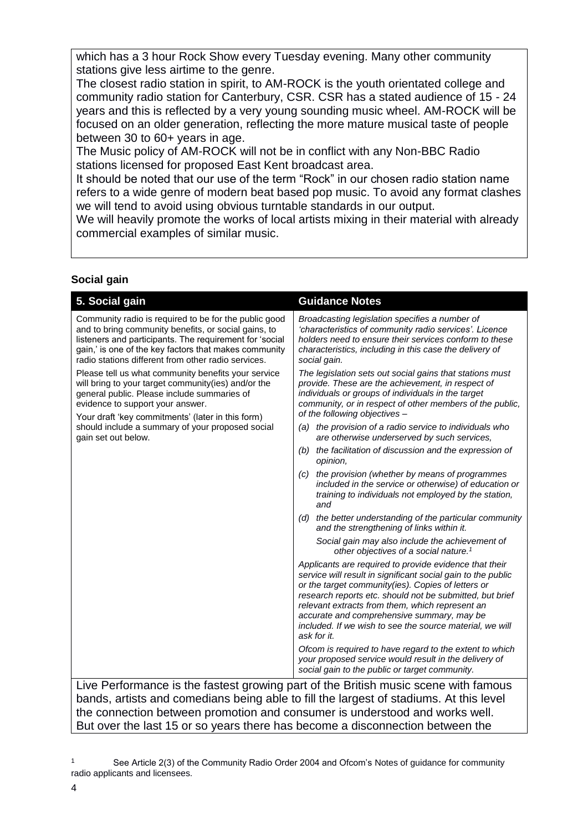which has a 3 hour Rock Show every Tuesday evening. Many other community stations give less airtime to the genre.

The closest radio station in spirit, to AM-ROCK is the youth orientated college and community radio station for Canterbury, CSR. CSR has a stated audience of 15 - 24 years and this is reflected by a very young sounding music wheel. AM-ROCK will be focused on an older generation, reflecting the more mature musical taste of people between 30 to 60+ years in age.

The Music policy of AM-ROCK will not be in conflict with any Non-BBC Radio stations licensed for proposed East Kent broadcast area.

It should be noted that our use of the term "Rock" in our chosen radio station name refers to a wide genre of modern beat based pop music. To avoid any format clashes we will tend to avoid using obvious turntable standards in our output.

We will heavily promote the works of local artists mixing in their material with already commercial examples of similar music.

# **Social gain**

| 5. Social gain                                                                                                                                                                                                                                                                           | <b>Guidance Notes</b>                                                                                                                                                                                                                                                                                                                                                                                                |  |
|------------------------------------------------------------------------------------------------------------------------------------------------------------------------------------------------------------------------------------------------------------------------------------------|----------------------------------------------------------------------------------------------------------------------------------------------------------------------------------------------------------------------------------------------------------------------------------------------------------------------------------------------------------------------------------------------------------------------|--|
| Community radio is required to be for the public good<br>and to bring community benefits, or social gains, to<br>listeners and participants. The requirement for 'social<br>gain,' is one of the key factors that makes community<br>radio stations different from other radio services. | Broadcasting legislation specifies a number of<br>'characteristics of community radio services'. Licence<br>holders need to ensure their services conform to these<br>characteristics, including in this case the delivery of<br>social gain.                                                                                                                                                                        |  |
| Please tell us what community benefits your service<br>will bring to your target community(ies) and/or the<br>general public. Please include summaries of<br>evidence to support your answer.<br>Your draft 'key commitments' (later in this form)                                       | The legislation sets out social gains that stations must<br>provide. These are the achievement, in respect of<br>individuals or groups of individuals in the target<br>community, or in respect of other members of the public,<br>of the following objectives -                                                                                                                                                     |  |
| should include a summary of your proposed social<br>gain set out below.                                                                                                                                                                                                                  | (a) the provision of a radio service to individuals who<br>are otherwise underserved by such services,                                                                                                                                                                                                                                                                                                               |  |
|                                                                                                                                                                                                                                                                                          | the facilitation of discussion and the expression of<br>(b)<br>opinion.                                                                                                                                                                                                                                                                                                                                              |  |
|                                                                                                                                                                                                                                                                                          | the provision (whether by means of programmes<br>(C)<br>included in the service or otherwise) of education or<br>training to individuals not employed by the station,<br>and                                                                                                                                                                                                                                         |  |
|                                                                                                                                                                                                                                                                                          | the better understanding of the particular community<br>(d)<br>and the strengthening of links within it.                                                                                                                                                                                                                                                                                                             |  |
|                                                                                                                                                                                                                                                                                          | Social gain may also include the achievement of<br>other objectives of a social nature. <sup>1</sup>                                                                                                                                                                                                                                                                                                                 |  |
|                                                                                                                                                                                                                                                                                          | Applicants are required to provide evidence that their<br>service will result in significant social gain to the public<br>or the target community(ies). Copies of letters or<br>research reports etc. should not be submitted, but brief<br>relevant extracts from them, which represent an<br>accurate and comprehensive summary, may be<br>included. If we wish to see the source material, we will<br>ask for it. |  |
| 1.3.1<br>$\mathbf{1}$ and $\mathbf{1}$ and $\mathbf{1}$<br>$\sim$ D $\sim$ $\sim$ $\sim$                                                                                                                                                                                                 | Ofcom is required to have regard to the extent to which<br>your proposed service would result in the delivery of<br>social gain to the public or target community.<br>die film Deltale en die eine eine Schliche                                                                                                                                                                                                     |  |

Live Performance is the fastest growing part of the British music scene with famous bands, artists and comedians being able to fill the largest of stadiums. At this level the connection between promotion and consumer is understood and works well. But over the last 15 or so years there has become a disconnection between the

<sup>1</sup> See Article 2(3) of the Community Radio Order 2004 and Ofcom's Notes of guidance for community radio applicants and licensees.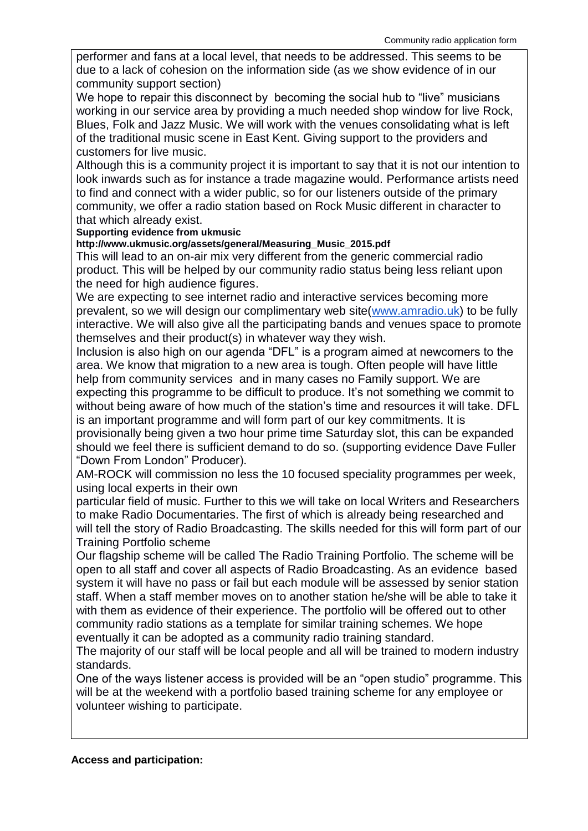performer and fans at a local level, that needs to be addressed. This seems to be due to a lack of cohesion on the information side (as we show evidence of in our community support section)

We hope to repair this disconnect by becoming the social hub to "live" musicians working in our service area by providing a much needed shop window for live Rock, Blues, Folk and Jazz Music. We will work with the venues consolidating what is left of the traditional music scene in East Kent. Giving support to the providers and customers for live music.

Although this is a community project it is important to say that it is not our intention to look inwards such as for instance a trade magazine would. Performance artists need to find and connect with a wider public, so for our listeners outside of the primary community, we offer a radio station based on Rock Music different in character to that which already exist.

## **Supporting evidence from ukmusic**

**http://www.ukmusic.org/assets/general/Measuring\_Music\_2015.pdf**

This will lead to an on-air mix very different from the generic commercial radio product. This will be helped by our community radio status being less reliant upon the need for high audience figures.

We are expecting to see internet radio and interactive services becoming more prevalent, so we will design our complimentary web site[\(www.amradio.uk\)](http://www.amradio.uk/) to be fully interactive. We will also give all the participating bands and venues space to promote themselves and their product(s) in whatever way they wish.

Inclusion is also high on our agenda "DFL" is a program aimed at newcomers to the area. We know that migration to a new area is tough. Often people will have little help from community services and in many cases no Family support. We are expecting this programme to be difficult to produce. It's not something we commit to without being aware of how much of the station's time and resources it will take. DFL is an important programme and will form part of our key commitments. It is provisionally being given a two hour prime time Saturday slot, this can be expanded should we feel there is sufficient demand to do so. (supporting evidence Dave Fuller "Down From London" Producer).

AM-ROCK will commission no less the 10 focused speciality programmes per week, using local experts in their own

particular field of music. Further to this we will take on local Writers and Researchers to make Radio Documentaries. The first of which is already being researched and will tell the story of Radio Broadcasting. The skills needed for this will form part of our Training Portfolio scheme

Our flagship scheme will be called The Radio Training Portfolio. The scheme will be open to all staff and cover all aspects of Radio Broadcasting. As an evidence based system it will have no pass or fail but each module will be assessed by senior station staff. When a staff member moves on to another station he/she will be able to take it with them as evidence of their experience. The portfolio will be offered out to other community radio stations as a template for similar training schemes. We hope eventually it can be adopted as a community radio training standard.

The majority of our staff will be local people and all will be trained to modern industry standards.

One of the ways listener access is provided will be an "open studio" programme. This will be at the weekend with a portfolio based training scheme for any employee or volunteer wishing to participate.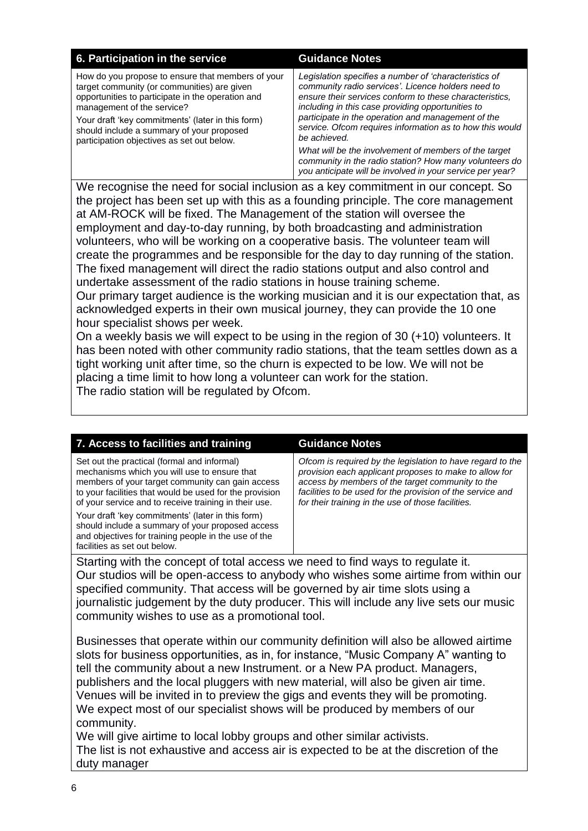| 6. Participation in the service                                                                                                                                                                                                                                                                                                     | <b>Guidance Notes</b>                                                                                                                                                                                                                                                                                                                                         |  |
|-------------------------------------------------------------------------------------------------------------------------------------------------------------------------------------------------------------------------------------------------------------------------------------------------------------------------------------|---------------------------------------------------------------------------------------------------------------------------------------------------------------------------------------------------------------------------------------------------------------------------------------------------------------------------------------------------------------|--|
| How do you propose to ensure that members of your<br>target community (or communities) are given<br>opportunities to participate in the operation and<br>management of the service?<br>Your draft 'key commitments' (later in this form)<br>should include a summary of your proposed<br>participation objectives as set out below. | Legislation specifies a number of 'characteristics of<br>community radio services'. Licence holders need to<br>ensure their services conform to these characteristics,<br>including in this case providing opportunities to<br>participate in the operation and management of the<br>service. Ofcom requires information as to how this would<br>be achieved. |  |
|                                                                                                                                                                                                                                                                                                                                     | What will be the involvement of members of the target<br>community in the radio station? How many volunteers do<br>you anticipate will be involved in your service per year?                                                                                                                                                                                  |  |
| We recognise the need for social inclusion as a key commitment in our concept. So                                                                                                                                                                                                                                                   |                                                                                                                                                                                                                                                                                                                                                               |  |

the project has been set up with this as a founding principle. The core management at AM-ROCK will be fixed. The Management of the station will oversee the employment and day-to-day running, by both broadcasting and administration volunteers, who will be working on a cooperative basis. The volunteer team will create the programmes and be responsible for the day to day running of the station. The fixed management will direct the radio stations output and also control and undertake assessment of the radio stations in house training scheme.

Our primary target audience is the working musician and it is our expectation that, as acknowledged experts in their own musical journey, they can provide the 10 one hour specialist shows per week.

On a weekly basis we will expect to be using in the region of 30 (+10) volunteers. It has been noted with other community radio stations, that the team settles down as a tight working unit after time, so the churn is expected to be low. We will not be placing a time limit to how long a volunteer can work for the station. The radio station will be regulated by Ofcom.

| 7. Access to facilities and training                                                                                                                                                                                                                                | <b>Guidance Notes</b>                                                                                                                                                                                                                                                                        |  |
|---------------------------------------------------------------------------------------------------------------------------------------------------------------------------------------------------------------------------------------------------------------------|----------------------------------------------------------------------------------------------------------------------------------------------------------------------------------------------------------------------------------------------------------------------------------------------|--|
| Set out the practical (formal and informal)<br>mechanisms which you will use to ensure that<br>members of your target community can gain access<br>to your facilities that would be used for the provision<br>of your service and to receive training in their use. | Ofcom is required by the legislation to have regard to the<br>provision each applicant proposes to make to allow for<br>access by members of the target community to the<br>facilities to be used for the provision of the service and<br>for their training in the use of those facilities. |  |
| Your draft 'key commitments' (later in this form)<br>should include a summary of your proposed access<br>and objectives for training people in the use of the<br>facilities as set out below.                                                                       |                                                                                                                                                                                                                                                                                              |  |
| Starting with the concept of total access we need to find ways to requilate it                                                                                                                                                                                      |                                                                                                                                                                                                                                                                                              |  |

concept of total access we need to find ways to regulate Our studios will be open-access to anybody who wishes some airtime from within our specified community. That access will be governed by air time slots using a journalistic judgement by the duty producer. This will include any live sets our music community wishes to use as a promotional tool.

Businesses that operate within our community definition will also be allowed airtime slots for business opportunities, as in, for instance, "Music Company A" wanting to tell the community about a new Instrument. or a New PA product. Managers, publishers and the local pluggers with new material, will also be given air time. Venues will be invited in to preview the gigs and events they will be promoting. We expect most of our specialist shows will be produced by members of our community.

We will give airtime to local lobby groups and other similar activists. The list is not exhaustive and access air is expected to be at the discretion of the duty manager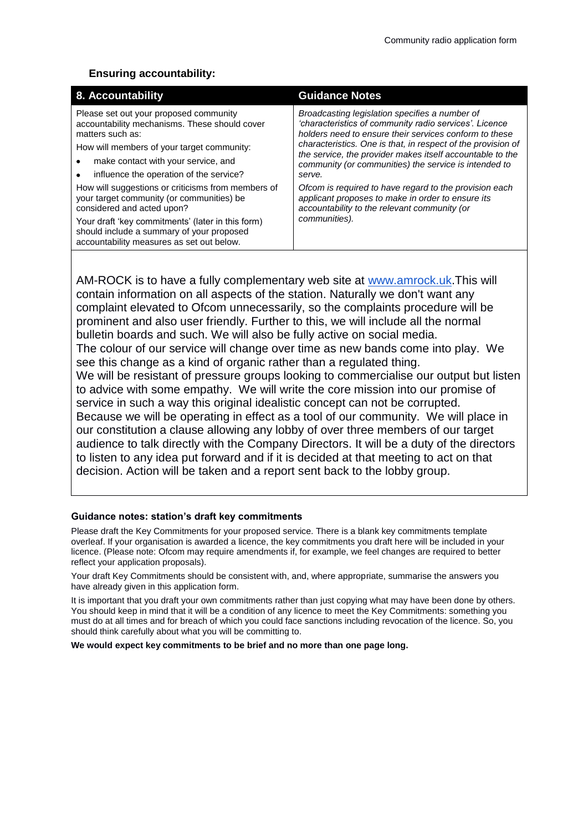## **Ensuring accountability:**

| 8. Accountability                                                                                                                                                                                                                                                                                                                                                                                                                                                                                                           | <b>Guidance Notes</b>                                                                                                                                                                                                                                                                                                                                                                                                                                                                                                                              |
|-----------------------------------------------------------------------------------------------------------------------------------------------------------------------------------------------------------------------------------------------------------------------------------------------------------------------------------------------------------------------------------------------------------------------------------------------------------------------------------------------------------------------------|----------------------------------------------------------------------------------------------------------------------------------------------------------------------------------------------------------------------------------------------------------------------------------------------------------------------------------------------------------------------------------------------------------------------------------------------------------------------------------------------------------------------------------------------------|
| Please set out your proposed community<br>accountability mechanisms. These should cover<br>matters such as:<br>How will members of your target community:<br>make contact with your service, and<br>influence the operation of the service?<br>How will suggestions or criticisms from members of<br>your target community (or communities) be<br>considered and acted upon?<br>Your draft 'key commitments' (later in this form)<br>should include a summary of your proposed<br>accountability measures as set out below. | Broadcasting legislation specifies a number of<br>'characteristics of community radio services'. Licence<br>holders need to ensure their services conform to these<br>characteristics. One is that, in respect of the provision of<br>the service, the provider makes itself accountable to the<br>community (or communities) the service is intended to<br>serve.<br>Ofcom is required to have regard to the provision each<br>applicant proposes to make in order to ensure its<br>accountability to the relevant community (or<br>communities). |

AM-ROCK is to have a fully complementary web site at [www.amrock.uk.](http://www.amrock.uk/)This will contain information on all aspects of the station. Naturally we don't want any complaint elevated to Ofcom unnecessarily, so the complaints procedure will be prominent and also user friendly. Further to this, we will include all the normal bulletin boards and such. We will also be fully active on social media. The colour of our service will change over time as new bands come into play. We see this change as a kind of organic rather than a regulated thing. We will be resistant of pressure groups looking to commercialise our output but listen to advice with some empathy. We will write the core mission into our promise of service in such a way this original idealistic concept can not be corrupted. Because we will be operating in effect as a tool of our community. We will place in our constitution a clause allowing any lobby of over three members of our target audience to talk directly with the Company Directors. It will be a duty of the directors to listen to any idea put forward and if it is decided at that meeting to act on that decision. Action will be taken and a report sent back to the lobby group.

## **Guidance notes: station's draft key commitments**

Please draft the Key Commitments for your proposed service. There is a blank key commitments template overleaf. If your organisation is awarded a licence, the key commitments you draft here will be included in your licence. (Please note: Ofcom may require amendments if, for example, we feel changes are required to better reflect your application proposals).

Your draft Key Commitments should be consistent with, and, where appropriate, summarise the answers you have already given in this application form.

It is important that you draft your own commitments rather than just copying what may have been done by others. You should keep in mind that it will be a condition of any licence to meet the Key Commitments: something you must do at all times and for breach of which you could face sanctions including revocation of the licence. So, you should think carefully about what you will be committing to.

**We would expect key commitments to be brief and no more than one page long.**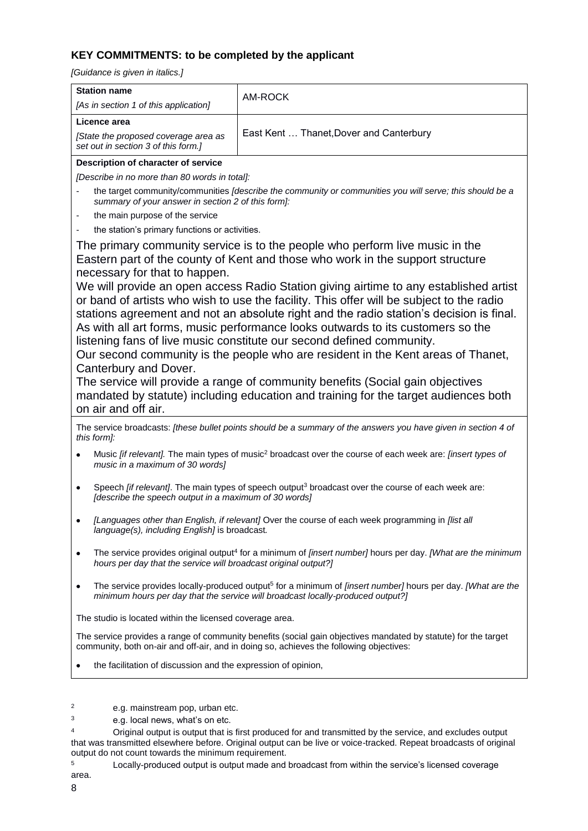# **KEY COMMITMENTS: to be completed by the applicant**

*[Guidance is given in italics.]*

| <b>Station name</b>                                                                                                                                                                                                                                                                                                                                                                                                                                                                                                                                                                                                                                                                                                                                                                                                                                                                                                                                      | AM-ROCK                                                                                                  |  |  |
|----------------------------------------------------------------------------------------------------------------------------------------------------------------------------------------------------------------------------------------------------------------------------------------------------------------------------------------------------------------------------------------------------------------------------------------------------------------------------------------------------------------------------------------------------------------------------------------------------------------------------------------------------------------------------------------------------------------------------------------------------------------------------------------------------------------------------------------------------------------------------------------------------------------------------------------------------------|----------------------------------------------------------------------------------------------------------|--|--|
| [As in section 1 of this application]                                                                                                                                                                                                                                                                                                                                                                                                                                                                                                                                                                                                                                                                                                                                                                                                                                                                                                                    |                                                                                                          |  |  |
| Licence area                                                                                                                                                                                                                                                                                                                                                                                                                                                                                                                                                                                                                                                                                                                                                                                                                                                                                                                                             |                                                                                                          |  |  |
| [State the proposed coverage area as<br>set out in section 3 of this form.]                                                                                                                                                                                                                                                                                                                                                                                                                                                                                                                                                                                                                                                                                                                                                                                                                                                                              | East Kent  Thanet, Dover and Canterbury                                                                  |  |  |
| Description of character of service                                                                                                                                                                                                                                                                                                                                                                                                                                                                                                                                                                                                                                                                                                                                                                                                                                                                                                                      |                                                                                                          |  |  |
| [Describe in no more than 80 words in total]:                                                                                                                                                                                                                                                                                                                                                                                                                                                                                                                                                                                                                                                                                                                                                                                                                                                                                                            |                                                                                                          |  |  |
| summary of your answer in section 2 of this form]:                                                                                                                                                                                                                                                                                                                                                                                                                                                                                                                                                                                                                                                                                                                                                                                                                                                                                                       | the target community/communities [describe the community or communities you will serve; this should be a |  |  |
| the main purpose of the service<br>$\overline{\phantom{a}}$                                                                                                                                                                                                                                                                                                                                                                                                                                                                                                                                                                                                                                                                                                                                                                                                                                                                                              |                                                                                                          |  |  |
| the station's primary functions or activities.<br>$\overline{\phantom{a}}$                                                                                                                                                                                                                                                                                                                                                                                                                                                                                                                                                                                                                                                                                                                                                                                                                                                                               |                                                                                                          |  |  |
| The primary community service is to the people who perform live music in the<br>Eastern part of the county of Kent and those who work in the support structure<br>necessary for that to happen.<br>We will provide an open access Radio Station giving airtime to any established artist<br>or band of artists who wish to use the facility. This offer will be subject to the radio<br>stations agreement and not an absolute right and the radio station's decision is final.<br>As with all art forms, music performance looks outwards to its customers so the<br>listening fans of live music constitute our second defined community.<br>Our second community is the people who are resident in the Kent areas of Thanet,<br>Canterbury and Dover.<br>The service will provide a range of community benefits (Social gain objectives<br>mandated by statute) including education and training for the target audiences both<br>on air and off air. |                                                                                                          |  |  |
| The service broadcasts: [these bullet points should be a summary of the answers you have given in section 4 of<br>this form]:                                                                                                                                                                                                                                                                                                                                                                                                                                                                                                                                                                                                                                                                                                                                                                                                                            |                                                                                                          |  |  |
| Music [if relevant]. The main types of music <sup>2</sup> broadcast over the course of each week are: [insert types of<br>٠<br>music in a maximum of 30 words]                                                                                                                                                                                                                                                                                                                                                                                                                                                                                                                                                                                                                                                                                                                                                                                           |                                                                                                          |  |  |
| Speech <i>[if relevant]</i> . The main types of speech output <sup>3</sup> broadcast over the course of each week are:<br>$\bullet$<br>[describe the speech output in a maximum of 30 words]                                                                                                                                                                                                                                                                                                                                                                                                                                                                                                                                                                                                                                                                                                                                                             |                                                                                                          |  |  |
| [Languages other than English, if relevant] Over the course of each week programming in [list all<br>language(s), including English] is broadcast.                                                                                                                                                                                                                                                                                                                                                                                                                                                                                                                                                                                                                                                                                                                                                                                                       |                                                                                                          |  |  |
| The service provides original output <sup>4</sup> for a minimum of [insert number] hours per day. [What are the minimum<br>٠<br>hours per day that the service will broadcast original output?]                                                                                                                                                                                                                                                                                                                                                                                                                                                                                                                                                                                                                                                                                                                                                          |                                                                                                          |  |  |
| The service provides locally-produced output <sup>5</sup> for a minimum of [insert number] hours per day. [What are the<br>٠<br>minimum hours per day that the service will broadcast locally-produced output?]                                                                                                                                                                                                                                                                                                                                                                                                                                                                                                                                                                                                                                                                                                                                          |                                                                                                          |  |  |
| The studio is located within the licensed coverage area.                                                                                                                                                                                                                                                                                                                                                                                                                                                                                                                                                                                                                                                                                                                                                                                                                                                                                                 |                                                                                                          |  |  |
| The service provides a range of community benefits (social gain objectives mandated by statute) for the target<br>community, both on-air and off-air, and in doing so, achieves the following objectives:                                                                                                                                                                                                                                                                                                                                                                                                                                                                                                                                                                                                                                                                                                                                                |                                                                                                          |  |  |
| the facilitation of discussion and the expression of opinion,                                                                                                                                                                                                                                                                                                                                                                                                                                                                                                                                                                                                                                                                                                                                                                                                                                                                                            |                                                                                                          |  |  |
| 2<br>e.g. mainstream pop, urban etc.<br>3<br>e.g. local news, what's on etc.                                                                                                                                                                                                                                                                                                                                                                                                                                                                                                                                                                                                                                                                                                                                                                                                                                                                             |                                                                                                          |  |  |

<sup>4</sup> Original output is output that is first produced for and transmitted by the service, and excludes output that was transmitted elsewhere before. Original output can be live or voice-tracked. Repeat broadcasts of original output do not count towards the minimum requirement.

<sup>5</sup> Locally-produced output is output made and broadcast from within the service's licensed coverage area.

8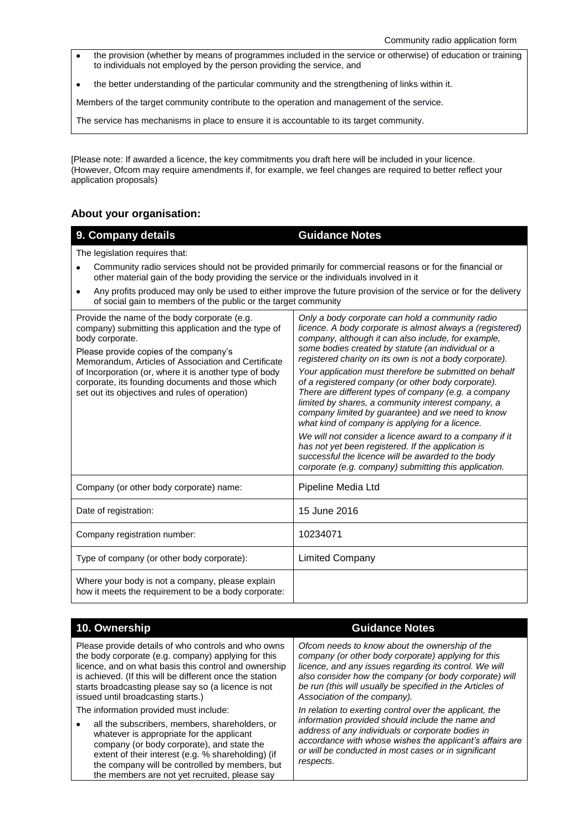- the provision (whether by means of programmes included in the service or otherwise) of education or training to individuals not employed by the person providing the service, and
- the better understanding of the particular community and the strengthening of links within it.

Members of the target community contribute to the operation and management of the service.

The service has mechanisms in place to ensure it is accountable to its target community.

[Please note: If awarded a licence, the key commitments you draft here will be included in your licence. (However, Ofcom may require amendments if, for example, we feel changes are required to better reflect your application proposals)

# **About your organisation:**

| 9. Company details                                                                                                                                                                                                                                                                                                                                                                                                               | <b>Guidance Notes</b>                                                                                                                                                                                                                                                                                                                                                                                                                                                                                                                                                                                                                                                                                                                                                                                                                                       |  |
|----------------------------------------------------------------------------------------------------------------------------------------------------------------------------------------------------------------------------------------------------------------------------------------------------------------------------------------------------------------------------------------------------------------------------------|-------------------------------------------------------------------------------------------------------------------------------------------------------------------------------------------------------------------------------------------------------------------------------------------------------------------------------------------------------------------------------------------------------------------------------------------------------------------------------------------------------------------------------------------------------------------------------------------------------------------------------------------------------------------------------------------------------------------------------------------------------------------------------------------------------------------------------------------------------------|--|
| The legislation requires that:<br>Community radio services should not be provided primarily for commercial reasons or for the financial or<br>other material gain of the body providing the service or the individuals involved in it<br>Any profits produced may only be used to either improve the future provision of the service or for the delivery<br>٠<br>of social gain to members of the public or the target community |                                                                                                                                                                                                                                                                                                                                                                                                                                                                                                                                                                                                                                                                                                                                                                                                                                                             |  |
| Provide the name of the body corporate (e.g.<br>company) submitting this application and the type of<br>body corporate.<br>Please provide copies of the company's<br>Memorandum, Articles of Association and Certificate<br>of Incorporation (or, where it is another type of body<br>corporate, its founding documents and those which<br>set out its objectives and rules of operation)                                        | Only a body corporate can hold a community radio<br>licence. A body corporate is almost always a (registered)<br>company, although it can also include, for example,<br>some bodies created by statute (an individual or a<br>registered charity on its own is not a body corporate).<br>Your application must therefore be submitted on behalf<br>of a registered company (or other body corporate).<br>There are different types of company (e.g. a company<br>limited by shares, a community interest company, a<br>company limited by guarantee) and we need to know<br>what kind of company is applying for a licence.<br>We will not consider a licence award to a company if it<br>has not yet been registered. If the application is<br>successful the licence will be awarded to the body<br>corporate (e.g. company) submitting this application. |  |
| Company (or other body corporate) name:                                                                                                                                                                                                                                                                                                                                                                                          | Pipeline Media Ltd                                                                                                                                                                                                                                                                                                                                                                                                                                                                                                                                                                                                                                                                                                                                                                                                                                          |  |
| Date of registration:                                                                                                                                                                                                                                                                                                                                                                                                            | 15 June 2016                                                                                                                                                                                                                                                                                                                                                                                                                                                                                                                                                                                                                                                                                                                                                                                                                                                |  |
| Company registration number:                                                                                                                                                                                                                                                                                                                                                                                                     | 10234071                                                                                                                                                                                                                                                                                                                                                                                                                                                                                                                                                                                                                                                                                                                                                                                                                                                    |  |
| Type of company (or other body corporate):                                                                                                                                                                                                                                                                                                                                                                                       | <b>Limited Company</b>                                                                                                                                                                                                                                                                                                                                                                                                                                                                                                                                                                                                                                                                                                                                                                                                                                      |  |
| Where your body is not a company, please explain<br>how it meets the requirement to be a body corporate:                                                                                                                                                                                                                                                                                                                         |                                                                                                                                                                                                                                                                                                                                                                                                                                                                                                                                                                                                                                                                                                                                                                                                                                                             |  |

Please provide details of who controls and who owns the body corporate (e.g. company) applying for this licence, and on what basis this control and ownership is achieved. (If this will be different once the station starts broadcasting please say so (a licence is not issued until broadcasting starts.)

The information provided must include:

 all the subscribers, members, shareholders, or whatever is appropriate for the applicant company (or body corporate), and state the extent of their interest (e.g. % shareholding) (if the company will be controlled by members, but the members are not yet recruited, please say

## **10. Ownership Guidance Notes**

*Ofcom needs to know about the ownership of the company (or other body corporate) applying for this licence, and any issues regarding its control. We will also consider how the company (or body corporate) will be run (this will usually be specified in the Articles of Association of the company).*

*In relation to exerting control over the applicant, the information provided should include the name and address of any individuals or corporate bodies in accordance with whose wishes the applicant's affairs are or will be conducted in most cases or in significant respects.*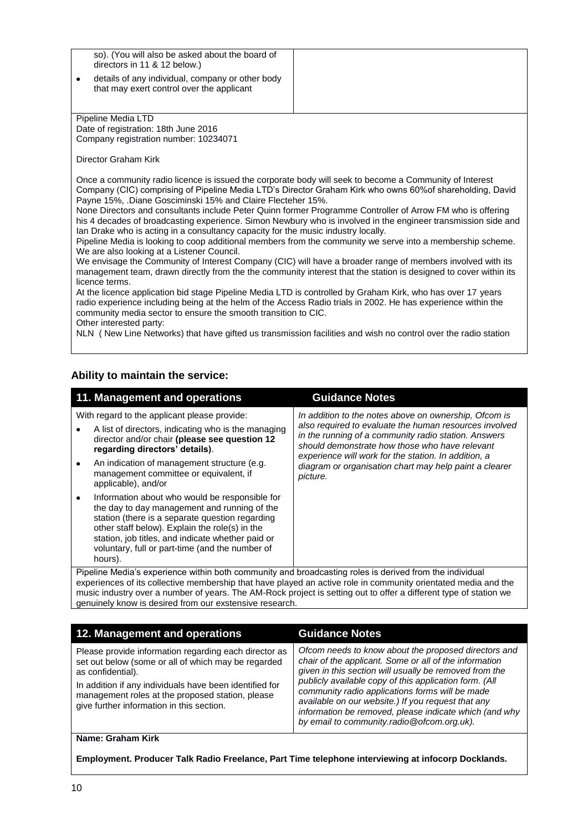so). (You will also be asked about the board of directors in 11 & 12 below.)

 details of any individual, company or other body that may exert control over the applicant

Pipeline Media LTD Date of registration: 18th June 2016 Company registration number: 10234071

Director Graham Kirk

Once a community radio licence is issued the corporate body will seek to become a Community of Interest Company (CIC) comprising of Pipeline Media LTD's Director Graham Kirk who owns 60%of shareholding, David Payne 15%, .Diane Gosciminski 15% and Claire Flecteher 15%.

None Directors and consultants include Peter Quinn former Programme Controller of Arrow FM who is offering his 4 decades of broadcasting experience. Simon Newbury who is involved in the engineer transmission side and Ian Drake who is acting in a consultancy capacity for the music industry locally.

Pipeline Media is looking to coop additional members from the community we serve into a membership scheme. We are also looking at a Listener Council.

We envisage the Community of Interest Company (CIC) will have a broader range of members involved with its management team, drawn directly from the the community interest that the station is designed to cover within its licence terms.

At the licence application bid stage Pipeline Media LTD is controlled by Graham Kirk, who has over 17 years radio experience including being at the helm of the Access Radio trials in 2002. He has experience within the community media sector to ensure the smooth transition to CIC.

Other interested party:

NLN ( New Line Networks) that have gifted us transmission facilities and wish no control over the radio station

## **Ability to maintain the service:**

| 11. Management and operations                                                                                                                                                                                                                                                                                                                                                                             | <b>Guidance Notes</b>                                                                                                                                                                                                    |  |
|-----------------------------------------------------------------------------------------------------------------------------------------------------------------------------------------------------------------------------------------------------------------------------------------------------------------------------------------------------------------------------------------------------------|--------------------------------------------------------------------------------------------------------------------------------------------------------------------------------------------------------------------------|--|
| With regard to the applicant please provide:                                                                                                                                                                                                                                                                                                                                                              | In addition to the notes above on ownership, Ofcom is                                                                                                                                                                    |  |
| A list of directors, indicating who is the managing<br>director and/or chair (please see question 12<br>regarding directors' details).                                                                                                                                                                                                                                                                    | also required to evaluate the human resources involved<br>in the running of a community radio station. Answers<br>should demonstrate how those who have relevant<br>experience will work for the station. In addition, a |  |
| An indication of management structure (e.g.<br>٠<br>management committee or equivalent, if<br>applicable), and/or                                                                                                                                                                                                                                                                                         | diagram or organisation chart may help paint a clearer<br>picture.                                                                                                                                                       |  |
| Information about who would be responsible for<br>$\bullet$<br>the day to day management and running of the<br>station (there is a separate question regarding<br>other staff below). Explain the role(s) in the<br>station, job titles, and indicate whether paid or<br>voluntary, full or part-time (and the number of<br>hours).                                                                       |                                                                                                                                                                                                                          |  |
| Pipeline Media's experience within both community and broadcasting roles is derived from the individual<br>experiences of its collective membership that have played an active role in community orientated media and the<br>music industry over a number of years. The AM-Rock project is setting out to offer a different type of station we<br>genuinely know is desired from our exstensive research. |                                                                                                                                                                                                                          |  |
|                                                                                                                                                                                                                                                                                                                                                                                                           |                                                                                                                                                                                                                          |  |

| 12. Management and operations                                                                                                                                                                                                                                                                 | <b>Guidance Notes</b>                                                                                                                                                                                                                                                                                                                                                                                                                               |
|-----------------------------------------------------------------------------------------------------------------------------------------------------------------------------------------------------------------------------------------------------------------------------------------------|-----------------------------------------------------------------------------------------------------------------------------------------------------------------------------------------------------------------------------------------------------------------------------------------------------------------------------------------------------------------------------------------------------------------------------------------------------|
| Please provide information regarding each director as<br>set out below (some or all of which may be regarded<br>as confidential).<br>In addition if any individuals have been identified for<br>management roles at the proposed station, please<br>give further information in this section. | Ofcom needs to know about the proposed directors and<br>chair of the applicant. Some or all of the information<br>given in this section will usually be removed from the<br>publicly available copy of this application form. (All<br>community radio applications forms will be made<br>available on our website.) If you request that any<br>information be removed, please indicate which (and why<br>by email to community.radio@ofcom.org.uk). |

#### **Name: Graham Kirk**

**Employment. Producer Talk Radio Freelance, Part Time telephone interviewing at infocorp Docklands.**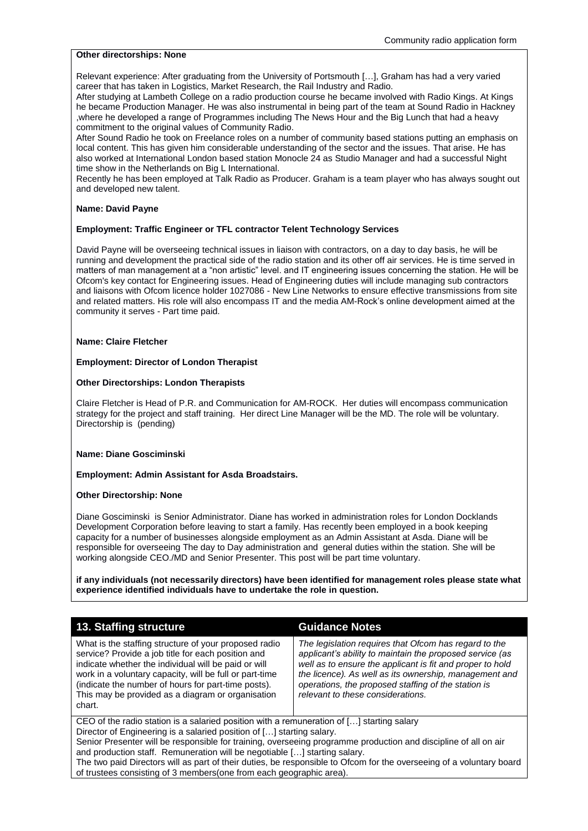#### **Other directorships: None**

Relevant experience: After graduating from the University of Portsmouth […], Graham has had a very varied career that has taken in Logistics, Market Research, the Rail Industry and Radio.

After studying at Lambeth College on a radio production course he became involved with Radio Kings. At Kings he became Production Manager. He was also instrumental in being part of the team at Sound Radio in Hackney ,where he developed a range of Programmes including The News Hour and the Big Lunch that had a heavy commitment to the original values of Community Radio.

After Sound Radio he took on Freelance roles on a number of community based stations putting an emphasis on local content. This has given him considerable understanding of the sector and the issues. That arise. He has also worked at International London based station Monocle 24 as Studio Manager and had a successful Night time show in the Netherlands on Big L International.

Recently he has been employed at Talk Radio as Producer. Graham is a team player who has always sought out and developed new talent.

#### **Name: David Payne**

#### **Employment: Traffic Engineer or TFL contractor Telent Technology Services**

David Payne will be overseeing technical issues in liaison with contractors, on a day to day basis, he will be running and development the practical side of the radio station and its other off air services. He is time served in matters of man management at a "non artistic" level. and IT engineering issues concerning the station. He will be Ofcom's key contact for Engineering issues. Head of Engineering duties will include managing sub contractors and liaisons with Ofcom licence holder 1027086 - New Line Networks to ensure effective transmissions from site and related matters. His role will also encompass IT and the media AM-Rock's online development aimed at the community it serves - Part time paid.

#### **Name: Claire Fletcher**

#### **Employment: Director of London Therapist**

#### **Other Directorships: London Therapists**

Claire Fletcher is Head of P.R. and Communication for AM-ROCK. Her duties will encompass communication strategy for the project and staff training. Her direct Line Manager will be the MD. The role will be voluntary. Directorship is (pending)

#### **Name: Diane Gosciminski**

#### **Employment: Admin Assistant for Asda Broadstairs.**

#### **Other Directorship: None**

Diane Gosciminski is Senior Administrator. Diane has worked in administration roles for London Docklands Development Corporation before leaving to start a family. Has recently been employed in a book keeping capacity for a number of businesses alongside employment as an Admin Assistant at Asda. Diane will be responsible for overseeing The day to Day administration and general duties within the station. She will be working alongside CEO./MD and Senior Presenter. This post will be part time voluntary.

**if any individuals (not necessarily directors) have been identified for management roles please state what experience identified individuals have to undertake the role in question.**

## **13. Staffing structure Guidance Notes**

What is the staffing structure of your proposed radio service? Provide a job title for each position and indicate whether the individual will be paid or will work in a voluntary capacity, will be full or part-time (indicate the number of hours for part-time posts). This may be provided as a diagram or organisation chart.

*The legislation requires that Ofcom has regard to the applicant's ability to maintain the proposed service (as well as to ensure the applicant is fit and proper to hold the licence). As well as its ownership, management and operations, the proposed staffing of the station is relevant to these considerations.* 

CEO of the radio station is a salaried position with a remuneration of […] starting salary Director of Engineering is a salaried position of […] starting salary.

Senior Presenter will be responsible for training, overseeing programme production and discipline of all on air and production staff. Remuneration will be negotiable […] starting salary.

The two paid Directors will as part of their duties, be responsible to Ofcom for the overseeing of a voluntary board of trustees consisting of 3 members(one from each geographic area).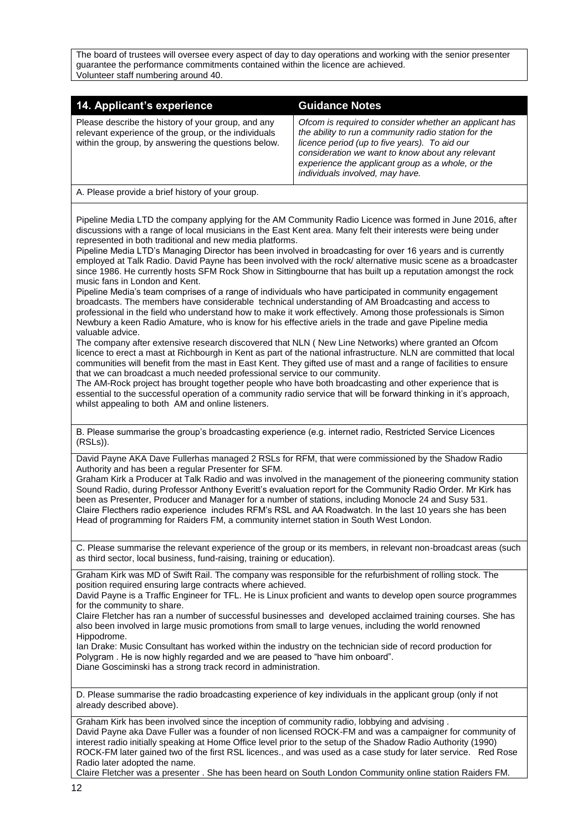The board of trustees will oversee every aspect of day to day operations and working with the senior presenter guarantee the performance commitments contained within the licence are achieved. Volunteer staff numbering around 40.

| 14. Applicant's experience                                                                                                                                        | <b>Guidance Notes</b>                                                                                                                                                                                                                                                                                       |
|-------------------------------------------------------------------------------------------------------------------------------------------------------------------|-------------------------------------------------------------------------------------------------------------------------------------------------------------------------------------------------------------------------------------------------------------------------------------------------------------|
| Please describe the history of your group, and any<br>relevant experience of the group, or the individuals<br>within the group, by answering the questions below. | Ofcom is required to consider whether an applicant has<br>the ability to run a community radio station for the<br>licence period (up to five years). To aid our<br>consideration we want to know about any relevant<br>experience the applicant group as a whole, or the<br>individuals involved, may have. |
| A. Please provide a brief history of your group.                                                                                                                  |                                                                                                                                                                                                                                                                                                             |

Pipeline Media LTD the company applying for the AM Community Radio Licence was formed in June 2016, after discussions with a range of local musicians in the East Kent area. Many felt their interests were being under represented in both traditional and new media platforms.

Pipeline Media LTD's Managing Director has been involved in broadcasting for over 16 years and is currently employed at Talk Radio. David Payne has been involved with the rock/ alternative music scene as a broadcaster since 1986. He currently hosts SFM Rock Show in Sittingbourne that has built up a reputation amongst the rock music fans in London and Kent.

Pipeline Media's team comprises of a range of individuals who have participated in community engagement broadcasts. The members have considerable technical understanding of AM Broadcasting and access to professional in the field who understand how to make it work effectively. Among those professionals is Simon Newbury a keen Radio Amature, who is know for his effective ariels in the trade and gave Pipeline media valuable advice.

The company after extensive research discovered that NLN ( New Line Networks) where granted an Ofcom licence to erect a mast at Richbourgh in Kent as part of the national infrastructure. NLN are committed that local communities will benefit from the mast in East Kent. They gifted use of mast and a range of facilities to ensure that we can broadcast a much needed professional service to our community.

The AM-Rock project has brought together people who have both broadcasting and other experience that is essential to the successful operation of a community radio service that will be forward thinking in it's approach, whilst appealing to both AM and online listeners.

B. Please summarise the group's broadcasting experience (e.g. internet radio, Restricted Service Licences (RSLs)).

David Payne AKA Dave Fullerhas managed 2 RSLs for RFM, that were commissioned by the Shadow Radio Authority and has been a regular Presenter for SFM.

Graham Kirk a Producer at Talk Radio and was involved in the management of the pioneering community station Sound Radio, during Professor Anthony Everitt's evaluation report for the Community Radio Order. Mr Kirk has been as Presenter, Producer and Manager for a number of stations, including Monocle 24 and Susy 531. Claire Flecthers radio experience includes RFM's RSL and AA Roadwatch. In the last 10 years she has been Head of programming for Raiders FM, a community internet station in South West London.

C. Please summarise the relevant experience of the group or its members, in relevant non-broadcast areas (such as third sector, local business, fund-raising, training or education).

Graham Kirk was MD of Swift Rail. The company was responsible for the refurbishment of rolling stock. The position required ensuring large contracts where achieved.

David Payne is a Traffic Engineer for TFL. He is Linux proficient and wants to develop open source programmes for the community to share.

Claire Fletcher has ran a number of successful businesses and developed acclaimed training courses. She has also been involved in large music promotions from small to large venues, including the world renowned Hippodrome.

Ian Drake: Music Consultant has worked within the industry on the technician side of record production for Polygram . He is now highly regarded and we are peased to "have him onboard". Diane Gosciminski has a strong track record in administration.

D. Please summarise the radio broadcasting experience of key individuals in the applicant group (only if not already described above).

Graham Kirk has been involved since the inception of community radio, lobbying and advising . David Payne aka Dave Fuller was a founder of non licensed ROCK-FM and was a campaigner for community of interest radio initially speaking at Home Office level prior to the setup of the Shadow Radio Authority (1990) ROCK-FM later gained two of the first RSL licences., and was used as a case study for later service. Red Rose Radio later adopted the name.

Claire Fletcher was a presenter . She has been heard on South London Community online station Raiders FM.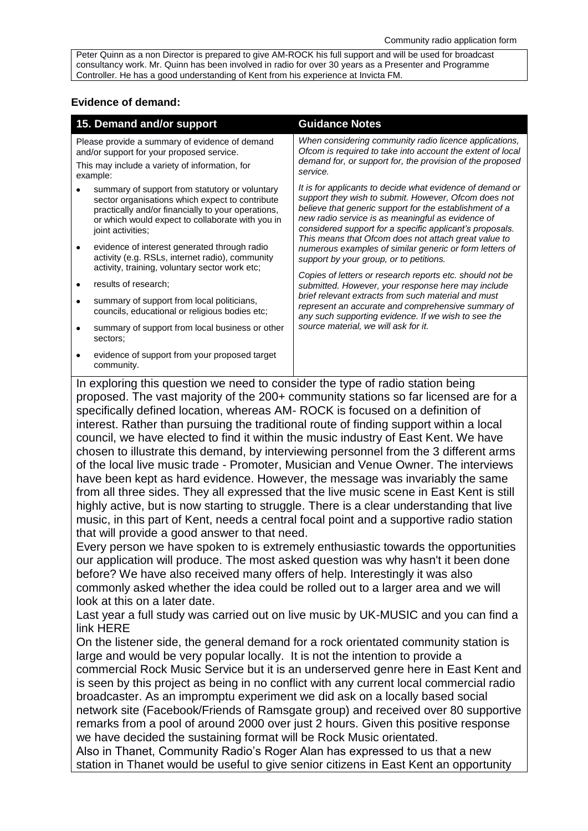Peter Quinn as a non Director is prepared to give AM-ROCK his full support and will be used for broadcast consultancy work. Mr. Quinn has been involved in radio for over 30 years as a Presenter and Programme Controller. He has a good understanding of Kent from his experience at Invicta FM.

## **Evidence of demand:**

| 15. Demand and/or support                                                                                                                                                                                                        | <b>Guidance Notes</b>                                                                                                                                                                                                                                                                                                                                 |
|----------------------------------------------------------------------------------------------------------------------------------------------------------------------------------------------------------------------------------|-------------------------------------------------------------------------------------------------------------------------------------------------------------------------------------------------------------------------------------------------------------------------------------------------------------------------------------------------------|
| Please provide a summary of evidence of demand<br>and/or support for your proposed service.<br>This may include a variety of information, for<br>example:                                                                        | When considering community radio licence applications,<br>Ofcom is required to take into account the extent of local<br>demand for, or support for, the provision of the proposed<br>service.                                                                                                                                                         |
| summary of support from statutory or voluntary<br>sector organisations which expect to contribute<br>practically and/or financially to your operations,<br>or which would expect to collaborate with you in<br>joint activities; | It is for applicants to decide what evidence of demand or<br>support they wish to submit. However, Ofcom does not<br>believe that generic support for the establishment of a<br>new radio service is as meaningful as evidence of<br>considered support for a specific applicant's proposals.<br>This means that Ofcom does not attach great value to |
| evidence of interest generated through radio<br>activity (e.g. RSLs, internet radio), community<br>activity, training, voluntary sector work etc;                                                                                | numerous examples of similar generic or form letters of<br>support by your group, or to petitions.                                                                                                                                                                                                                                                    |
| results of research;                                                                                                                                                                                                             | Copies of letters or research reports etc. should not be<br>submitted. However, your response here may include                                                                                                                                                                                                                                        |
| summary of support from local politicians,<br>councils, educational or religious bodies etc;                                                                                                                                     | brief relevant extracts from such material and must<br>represent an accurate and comprehensive summary of<br>any such supporting evidence. If we wish to see the                                                                                                                                                                                      |
| summary of support from local business or other<br>sectors;                                                                                                                                                                      | source material, we will ask for it.                                                                                                                                                                                                                                                                                                                  |
| evidence of support from your proposed target<br>community.                                                                                                                                                                      |                                                                                                                                                                                                                                                                                                                                                       |

In exploring this question we need to consider the type of radio station being proposed. The vast majority of the 200+ community stations so far licensed are for a specifically defined location, whereas AM- ROCK is focused on a definition of interest. Rather than pursuing the traditional route of finding support within a local council, we have elected to find it within the music industry of East Kent. We have chosen to illustrate this demand, by interviewing personnel from the 3 different arms of the local live music trade - Promoter, Musician and Venue Owner. The interviews have been kept as hard evidence. However, the message was invariably the same from all three sides. They all expressed that the live music scene in East Kent is still highly active, but is now starting to struggle. There is a clear understanding that live music, in this part of Kent, needs a central focal point and a supportive radio station that will provide a good answer to that need.

Every person we have spoken to is extremely enthusiastic towards the opportunities our application will produce. The most asked question was why hasn't it been done before? We have also received many offers of help. Interestingly it was also commonly asked whether the idea could be rolled out to a larger area and we will look at this on a later date.

Last year a full study was carried out on live music by UK-MUSIC and you can find a link HERE

On the listener side, the general demand for a rock orientated community station is large and would be very popular locally. It is not the intention to provide a commercial Rock Music Service but it is an underserved genre here in East Kent and is seen by this project as being in no conflict with any current local commercial radio broadcaster. As an impromptu experiment we did ask on a locally based social network site (Facebook/Friends of Ramsgate group) and received over 80 supportive remarks from a pool of around 2000 over just 2 hours. Given this positive response we have decided the sustaining format will be Rock Music orientated.

Also in Thanet, Community Radio's Roger Alan has expressed to us that a new station in Thanet would be useful to give senior citizens in East Kent an opportunity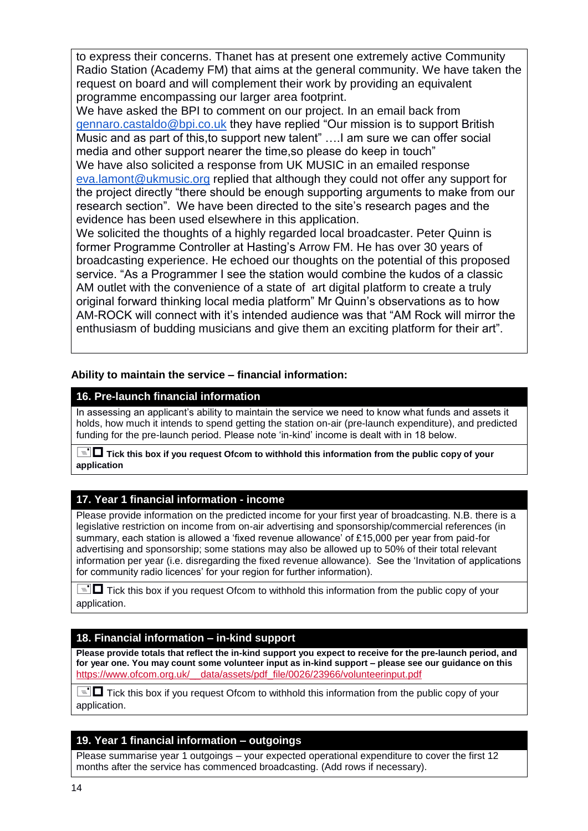to express their concerns. Thanet has at present one extremely active Community Radio Station (Academy FM) that aims at the general community. We have taken the request on board and will complement their work by providing an equivalent programme encompassing our larger area footprint.

We have asked the BPI to comment on our project. In an email back from [gennaro.castaldo@bpi.co.uk](mailto:gennaro.castaldo@bpi.co.uk) they have replied "Our mission is to support British Music and as part of this,to support new talent" ….I am sure we can offer social media and other support nearer the time,so please do keep in touch" We have also solicited a response from UK MUSIC in an emailed response [eva.lamont@ukmusic.org](mailto:eva.lamont@ukmusic.org) replied that although they could not offer any support for the project directly "there should be enough supporting arguments to make from our research section". We have been directed to the site's research pages and the evidence has been used elsewhere in this application.

We solicited the thoughts of a highly regarded local broadcaster. Peter Quinn is former Programme Controller at Hasting's Arrow FM. He has over 30 years of broadcasting experience. He echoed our thoughts on the potential of this proposed service. "As a Programmer I see the station would combine the kudos of a classic AM outlet with the convenience of a state of art digital platform to create a truly original forward thinking local media platform" Mr Quinn's observations as to how AM-ROCK will connect with it's intended audience was that "AM Rock will mirror the enthusiasm of budding musicians and give them an exciting platform for their art".

**Ability to maintain the service – financial information:**

# **16. Pre-launch financial information**

In assessing an applicant's ability to maintain the service we need to know what funds and assets it holds, how much it intends to spend getting the station on-air (pre-launch expenditure), and predicted funding for the pre-launch period. Please note 'in-kind' income is dealt with in 18 below.

 **Tick this box if you request Ofcom to withhold this information from the public copy of your application**

# **17. Year 1 financial information - income**

Please provide information on the predicted income for your first year of broadcasting. N.B. there is a legislative restriction on income from on-air advertising and sponsorship/commercial references (in summary, each station is allowed a 'fixed revenue allowance' of £15,000 per year from paid-for advertising and sponsorship; some stations may also be allowed up to 50% of their total relevant information per year (i.e. disregarding the fixed revenue allowance). See the 'Invitation of applications for community radio licences' for your region for further information).

 $\equiv$   $\Box$  Tick this box if you request Ofcom to withhold this information from the public copy of your application.

# **18. Financial information – in-kind support**

**Please provide totals that reflect the in-kind support you expect to receive for the pre-launch period, and for year one. You may count some volunteer input as in-kind support – please see our guidance on this**  [https://www.ofcom.org.uk/\\_\\_data/assets/pdf\\_file/0026/23966/volunteerinput.pdf](https://www.ofcom.org.uk/__data/assets/pdf_file/0026/23966/volunteerinput.pdf)

 $\equiv$   $\Box$  Tick this box if you request Ofcom to withhold this information from the public copy of your application.

# **19. Year 1 financial information – outgoings**

Please summarise year 1 outgoings – your expected operational expenditure to cover the first 12 months after the service has commenced broadcasting. (Add rows if necessary).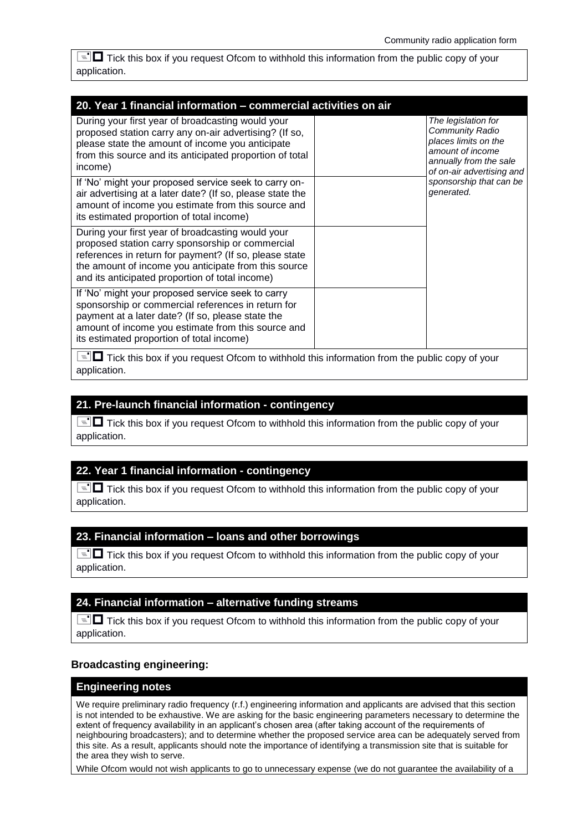$\equiv$   $\blacksquare$  Tick this box if you request Ofcom to withhold this information from the public copy of your application.

| 20. Year 1 financial information - commercial activities on air                                                                                                                                                                                                                                                                                                                                                    |  |                                                                                                                                                                                    |
|--------------------------------------------------------------------------------------------------------------------------------------------------------------------------------------------------------------------------------------------------------------------------------------------------------------------------------------------------------------------------------------------------------------------|--|------------------------------------------------------------------------------------------------------------------------------------------------------------------------------------|
| During your first year of broadcasting would your<br>proposed station carry any on-air advertising? (If so,<br>please state the amount of income you anticipate<br>from this source and its anticipated proportion of total<br>income)<br>If 'No' might your proposed service seek to carry on-<br>air advertising at a later date? (If so, please state the<br>amount of income you estimate from this source and |  | The legislation for<br>Community Radio<br>places limits on the<br>amount of income<br>annually from the sale<br>of on-air advertising and<br>sponsorship that can be<br>generated. |
| its estimated proportion of total income)<br>During your first year of broadcasting would your<br>proposed station carry sponsorship or commercial<br>references in return for payment? (If so, please state<br>the amount of income you anticipate from this source<br>and its anticipated proportion of total income)                                                                                            |  |                                                                                                                                                                                    |
| If 'No' might your proposed service seek to carry<br>sponsorship or commercial references in return for<br>payment at a later date? (If so, please state the<br>amount of income you estimate from this source and<br>its estimated proportion of total income)                                                                                                                                                    |  |                                                                                                                                                                                    |
| $\equiv$ $\blacksquare$ Tick this box if you request Ofcom to withhold this information from the public copy of your                                                                                                                                                                                                                                                                                               |  |                                                                                                                                                                                    |

application.

## **21. Pre-launch financial information - contingency**

 $\equiv$   $\blacksquare$  Tick this box if you request Ofcom to withhold this information from the public copy of your application.

## **22. Year 1 financial information - contingency**

 $\equiv$   $\blacksquare$  Tick this box if you request Ofcom to withhold this information from the public copy of your application.

## **23. Financial information – loans and other borrowings**

 $\equiv$   $\Box$  Tick this box if you request Ofcom to withhold this information from the public copy of your application.

## **24. Financial information – alternative funding streams**

 $\equiv$   $\blacksquare$  Tick this box if you request Ofcom to withhold this information from the public copy of your application.

## **Broadcasting engineering:**

## **Engineering notes**

We require preliminary radio frequency (r.f.) engineering information and applicants are advised that this section is not intended to be exhaustive. We are asking for the basic engineering parameters necessary to determine the extent of frequency availability in an applicant's chosen area (after taking account of the requirements of neighbouring broadcasters); and to determine whether the proposed service area can be adequately served from this site. As a result, applicants should note the importance of identifying a transmission site that is suitable for the area they wish to serve.

While Ofcom would not wish applicants to go to unnecessary expense (we do not guarantee the availability of a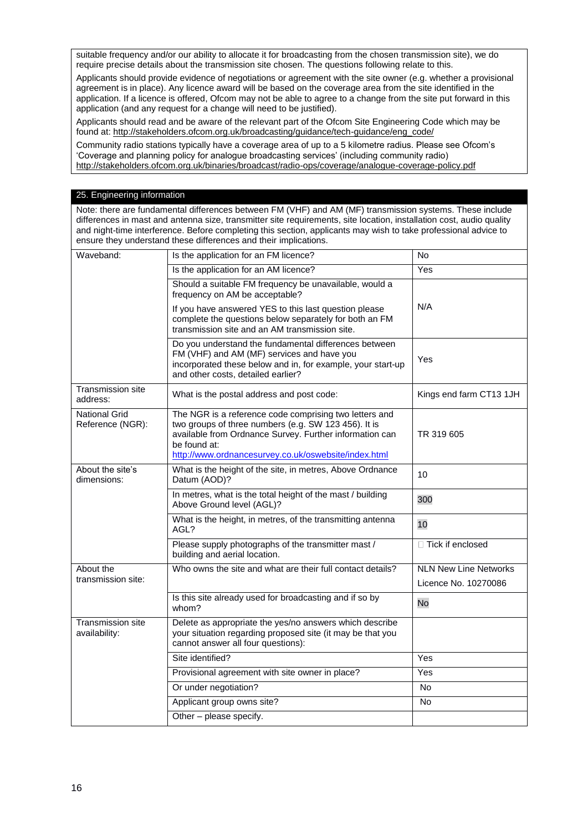suitable frequency and/or our ability to allocate it for broadcasting from the chosen transmission site), we do require precise details about the transmission site chosen. The questions following relate to this.

Applicants should provide evidence of negotiations or agreement with the site owner (e.g. whether a provisional agreement is in place). Any licence award will be based on the coverage area from the site identified in the application. If a licence is offered, Ofcom may not be able to agree to a change from the site put forward in this application (and any request for a change will need to be justified).

Applicants should read and be aware of the relevant part of the Ofcom Site Engineering Code which may be found at[: http://stakeholders.ofcom.org.uk/broadcasting/guidance/tech-guidance/eng\\_code/](http://stakeholders.ofcom.org.uk/broadcasting/guidance/tech-guidance/eng_code/)

Community radio stations typically have a coverage area of up to a 5 kilometre radius. Please see Ofcom's 'Coverage and planning policy for analogue broadcasting services' (including community radio) <http://stakeholders.ofcom.org.uk/binaries/broadcast/radio-ops/coverage/analogue-coverage-policy.pdf>

#### 25. Engineering information

Note: there are fundamental differences between FM (VHF) and AM (MF) transmission systems. These include differences in mast and antenna size, transmitter site requirements, site location, installation cost, audio quality and night-time interference. Before completing this section, applicants may wish to take professional advice to ensure they understand these differences and their implications.

| Waveband:                                 | Is the application for an FM licence?                                                                                                                                                                                                             | No                                                   |
|-------------------------------------------|---------------------------------------------------------------------------------------------------------------------------------------------------------------------------------------------------------------------------------------------------|------------------------------------------------------|
|                                           | Is the application for an AM licence?                                                                                                                                                                                                             | Yes                                                  |
|                                           | Should a suitable FM frequency be unavailable, would a<br>frequency on AM be acceptable?                                                                                                                                                          |                                                      |
|                                           | If you have answered YES to this last question please<br>complete the questions below separately for both an FM<br>transmission site and an AM transmission site.                                                                                 | N/A                                                  |
|                                           | Do you understand the fundamental differences between<br>FM (VHF) and AM (MF) services and have you<br>incorporated these below and in, for example, your start-up<br>and other costs, detailed earlier?                                          | Yes                                                  |
| <b>Transmission site</b><br>address:      | What is the postal address and post code:                                                                                                                                                                                                         | Kings end farm CT13 1JH                              |
| <b>National Grid</b><br>Reference (NGR):  | The NGR is a reference code comprising two letters and<br>two groups of three numbers (e.g. SW 123 456). It is<br>available from Ordnance Survey. Further information can<br>be found at:<br>http://www.ordnancesurvey.co.uk/oswebsite/index.html | TR 319 605                                           |
| About the site's<br>dimensions:           | What is the height of the site, in metres, Above Ordnance<br>Datum (AOD)?                                                                                                                                                                         | 10                                                   |
|                                           | In metres, what is the total height of the mast / building<br>Above Ground level (AGL)?                                                                                                                                                           | 300                                                  |
|                                           | What is the height, in metres, of the transmitting antenna<br>AGL?                                                                                                                                                                                | 10                                                   |
|                                           | Please supply photographs of the transmitter mast /<br>building and aerial location.                                                                                                                                                              | $\Box$ Tick if enclosed                              |
| About the<br>transmission site:           | Who owns the site and what are their full contact details?                                                                                                                                                                                        | <b>NLN New Line Networks</b><br>Licence No. 10270086 |
|                                           | Is this site already used for broadcasting and if so by<br>whom?                                                                                                                                                                                  | No                                                   |
| <b>Transmission site</b><br>availability: | Delete as appropriate the yes/no answers which describe<br>your situation regarding proposed site (it may be that you<br>cannot answer all four questions):                                                                                       |                                                      |
|                                           | Site identified?                                                                                                                                                                                                                                  | Yes                                                  |
|                                           | Provisional agreement with site owner in place?                                                                                                                                                                                                   | Yes                                                  |
|                                           | Or under negotiation?                                                                                                                                                                                                                             | No                                                   |
|                                           | Applicant group owns site?                                                                                                                                                                                                                        | No                                                   |
|                                           | Other - please specify.                                                                                                                                                                                                                           |                                                      |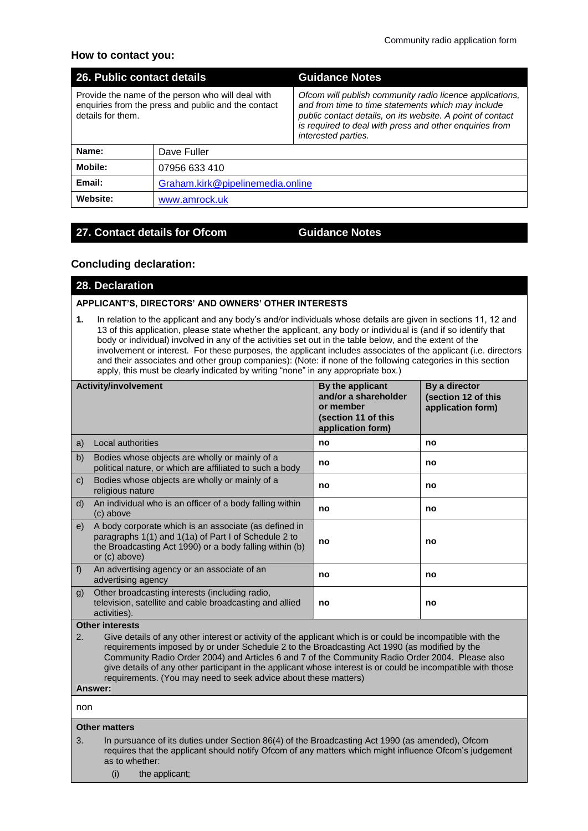## **How to contact you:**

| 26. Public contact details                                                                                                    |                                  | <b>Guidance Notes</b>                                                                                                                                                                                                                                          |  |
|-------------------------------------------------------------------------------------------------------------------------------|----------------------------------|----------------------------------------------------------------------------------------------------------------------------------------------------------------------------------------------------------------------------------------------------------------|--|
| Provide the name of the person who will deal with<br>enquiries from the press and public and the contact<br>details for them. |                                  | Ofcom will publish community radio licence applications,<br>and from time to time statements which may include<br>public contact details, on its website. A point of contact<br>is required to deal with press and other enquiries from<br>interested parties. |  |
| Name:                                                                                                                         | Dave Fuller                      |                                                                                                                                                                                                                                                                |  |
| Mobile:                                                                                                                       | 07956 633 410                    |                                                                                                                                                                                                                                                                |  |
| Email:                                                                                                                        | Graham.kirk@pipelinemedia.online |                                                                                                                                                                                                                                                                |  |
| Website:                                                                                                                      | www.amrock.uk                    |                                                                                                                                                                                                                                                                |  |

## **27. Contact details for Ofcom Guidance Notes**

## **Concluding declaration:**

**28. Declaration**

### **APPLICANT'S, DIRECTORS' AND OWNERS' OTHER INTERESTS**

**1.** In relation to the applicant and any body's and/or individuals whose details are given in sections 11, 12 and 13 of this application, please state whether the applicant, any body or individual is (and if so identify that body or individual) involved in any of the activities set out in the table below, and the extent of the involvement or interest. For these purposes, the applicant includes associates of the applicant (i.e. directors and their associates and other group companies): (Note: if none of the following categories in this section apply, this must be clearly indicated by writing "none" in any appropriate box.)

| <b>Activity/involvement</b> |                                                                                                                                                                                             | By the applicant<br>and/or a shareholder<br>or member<br>(section 11 of this<br>application form) | By a director<br>(section 12 of this<br>application form) |
|-----------------------------|---------------------------------------------------------------------------------------------------------------------------------------------------------------------------------------------|---------------------------------------------------------------------------------------------------|-----------------------------------------------------------|
| a)                          | Local authorities                                                                                                                                                                           | no                                                                                                | no                                                        |
| b)                          | Bodies whose objects are wholly or mainly of a<br>political nature, or which are affiliated to such a body                                                                                  | no                                                                                                | no                                                        |
| $\mathsf{C}$                | Bodies whose objects are wholly or mainly of a<br>religious nature                                                                                                                          | no                                                                                                | no                                                        |
| d)                          | An individual who is an officer of a body falling within<br>(c) above                                                                                                                       | no                                                                                                | no                                                        |
| e)                          | A body corporate which is an associate (as defined in<br>paragraphs 1(1) and 1(1a) of Part I of Schedule 2 to<br>the Broadcasting Act 1990) or a body falling within (b)<br>or $(c)$ above) | no                                                                                                | no                                                        |
| f                           | An advertising agency or an associate of an<br>advertising agency                                                                                                                           | no                                                                                                | no                                                        |
| g)                          | Other broadcasting interests (including radio,<br>television, satellite and cable broadcasting and allied<br>activities).                                                                   | no                                                                                                | no                                                        |

### **Other interests**

2. Give details of any other interest or activity of the applicant which is or could be incompatible with the requirements imposed by or under Schedule 2 to the Broadcasting Act 1990 (as modified by the Community Radio Order 2004) and Articles 6 and 7 of the Community Radio Order 2004. Please also give details of any other participant in the applicant whose interest is or could be incompatible with those requirements. (You may need to seek advice about these matters)

## **Answer:**

non

#### **Other matters**

- 3. In pursuance of its duties under Section 86(4) of the Broadcasting Act 1990 (as amended), Ofcom requires that the applicant should notify Ofcom of any matters which might influence Ofcom's judgement as to whether:
	- (i) the applicant;